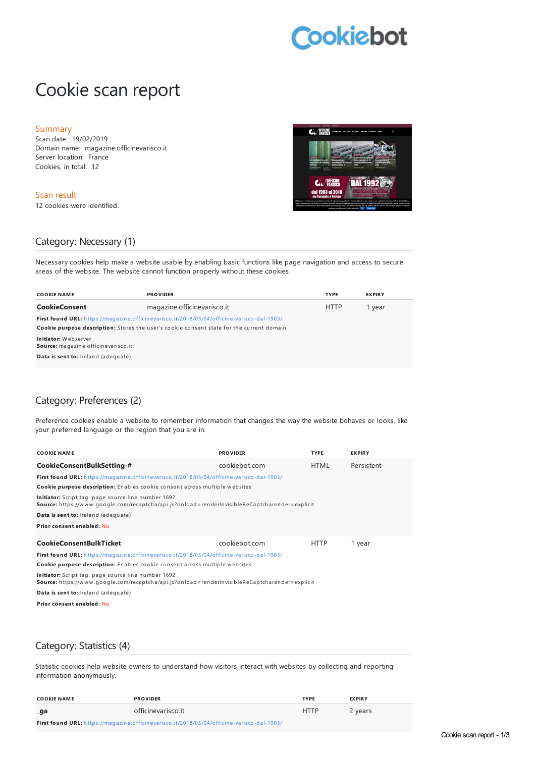# **Cookiebot**

# Cookie scan report

#### Summary

Scan date: 19/02/2019 Domain name: magazine.officinevarisco.it Server location: France Cookies, in total: 12

Scan result 12 cookies were identified.



#### Category: Necessary (1)

Necessary cookies help make a website usable by enabling basic functions like page navigation and access to secure areas of the website. The website cannot function properly without these cookies.

| <b>COOKIE NAME</b>                                                                                | <b>PROVIDER</b>             | <b>TYPE</b> | <b>EXPIRY</b> |  |
|---------------------------------------------------------------------------------------------------|-----------------------------|-------------|---------------|--|
| <b>CookieConsent</b>                                                                              | magazine.officinevarisco.it | <b>HTTP</b> | 1 year        |  |
| <b>First found URL:</b> https://magazine.officinevarisco.it/2018/05/04/officine-varisco-dal-1903/ |                             |             |               |  |
| <b>Cookie purpose description:</b> Stores the user's cookie consent state for the current domain  |                             |             |               |  |
| Initiator: Webserver<br>Source: magazine.officinevarisco.it                                       |                             |             |               |  |
| Data is sent to: Ireland (adequate)                                                               |                             |             |               |  |
|                                                                                                   |                             |             |               |  |

## Category: Preferences (2)

Preference cookies enable a website to remember information that changes the way the website behaves or looks, like your preferred language or the region that you are in.

| <b>COOKIE NAME</b>                                                                                                                                    | <b>PROVIDER</b> | <b>TYPE</b> | <b>EXPIRY</b> |
|-------------------------------------------------------------------------------------------------------------------------------------------------------|-----------------|-------------|---------------|
| CookieConsentBulkSetting-#                                                                                                                            | cookiebot.com   | <b>HTML</b> | Persistent    |
| <b>First found URL:</b> https://magazine.officinevarisco.it/2018/05/04/officine-varisco-dal-1903/                                                     |                 |             |               |
| Cookie purpose description: Enables cookie consent across multiple websites                                                                           |                 |             |               |
| Initiator: Script tag, page source line number 1692<br>Source: https://www.google.com/recaptcha/api.js?onload=renderInvisibleReCaptcharender=explicit |                 |             |               |
| Data is sent to: Ireland (adequate)                                                                                                                   |                 |             |               |
| Prior consent enabled: No                                                                                                                             |                 |             |               |
| <b>CookieConsentBulkTicket</b>                                                                                                                        | cookiebot.com   | <b>HTTP</b> | 1 year        |
| <b>First found URL:</b> https://magazine.officinevarisco.it/2018/05/04/officine-varisco-dal-1903/                                                     |                 |             |               |
| Cookie purpose description: Enables cookie consent across multiple websites                                                                           |                 |             |               |
| Initiator: Script tag, page source line number 1692<br>Source: https://www.google.com/recaptcha/api.js?onload=renderInvisibleReCaptcharender=explicit |                 |             |               |
| Data is sent to: Ireland (adequate)                                                                                                                   |                 |             |               |

**Prior consent enabled:** No

## Category: Statistics (4)

Statistic cookies help website owners to understand how visitors interact with websites by collecting and reporting information anonymously.

| <b>COOKIE NAME</b>                                                                         | <b>PROVIDER</b>    | <b>TYPF</b> | <b>EXPIRY</b> |
|--------------------------------------------------------------------------------------------|--------------------|-------------|---------------|
| _ga                                                                                        | officinevarisco it | <b>HTTP</b> | 2 years       |
| First found URL: https://magazine.officinevarisco.it/2018/05/04/officine-varisco-dal-1903/ |                    |             |               |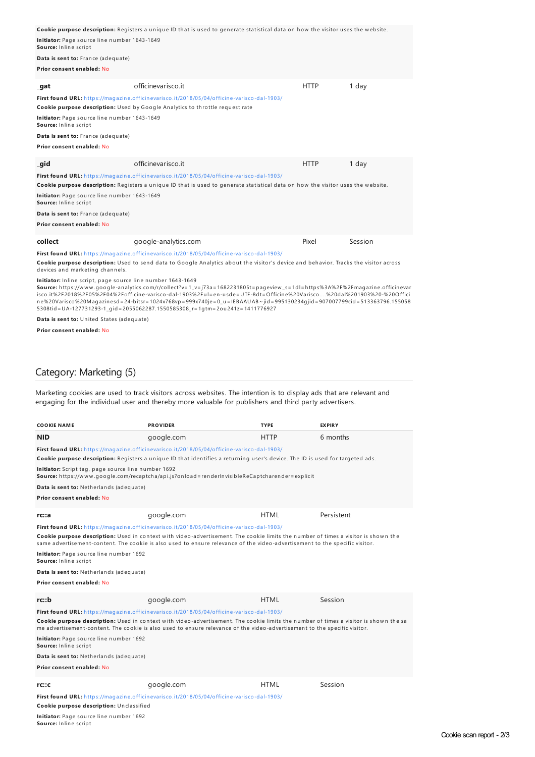|                                                                                                                                  | Cookie purpose description: Registers a unique ID that is used to generate statistical data on how the visitor uses the website.                                            |             |         |
|----------------------------------------------------------------------------------------------------------------------------------|-----------------------------------------------------------------------------------------------------------------------------------------------------------------------------|-------------|---------|
| Initiator: Page source line number 1643-1649<br>Source: Inline script                                                            |                                                                                                                                                                             |             |         |
| Data is sent to: France (adequate)                                                                                               |                                                                                                                                                                             |             |         |
| Prior consent enabled: No                                                                                                        |                                                                                                                                                                             |             |         |
| _gat                                                                                                                             | officinevarisco.it                                                                                                                                                          | <b>HTTP</b> | 1 day   |
|                                                                                                                                  | First found URL: https://magazine.officinevarisco.it/2018/05/04/officine-varisco-dal-1903/<br>Cookie purpose description: Used by Google Analytics to throttle request rate |             |         |
| Initiator: Page source line number 1643-1649<br>Source: Inline script                                                            |                                                                                                                                                                             |             |         |
| Data is sent to: France (adequate)                                                                                               |                                                                                                                                                                             |             |         |
| Prior consent enabled: No                                                                                                        |                                                                                                                                                                             |             |         |
| _gid                                                                                                                             | officinevarisco.it                                                                                                                                                          | <b>HTTP</b> | 1 day   |
|                                                                                                                                  | First found URL: https://magazine.officinevarisco.it/2018/05/04/officine-varisco-dal-1903/                                                                                  |             |         |
| Cookie purpose description: Registers a unique ID that is used to generate statistical data on how the visitor uses the website. |                                                                                                                                                                             |             |         |
| Initiator: Page source line number 1643-1649<br>Source: Inline script                                                            |                                                                                                                                                                             |             |         |
| Data is sent to: France (adequate)                                                                                               |                                                                                                                                                                             |             |         |
| Prior consent enabled: No                                                                                                        |                                                                                                                                                                             |             |         |
| collect                                                                                                                          | google-analytics.com                                                                                                                                                        | Pixel       | Session |
|                                                                                                                                  | First found URL: https://magazine.officinevarisco.it/2018/05/04/officine-varisco-dal-1903/                                                                                  |             |         |
| devices and marketing channels.                                                                                                  | Cookie purpose description: Used to send data to Google Analytics about the visitor's device and behavior. Tracks the visitor across                                        |             |         |

**Initiator:** Inline script, page source line number 1643-1649

**Source:** h ttps://w w w .google-an alytics.com/r/collect?v=1\_v=j73a=1682231805t=pageview \_s=1dl=h ttps%3A%2F%2Fmagazin e.officin evar isco.it%2F2018%2F05%2F04%2Fofficine-varisco-dal-1903%2Ful=en-usde=UTF-8dt=Officine%20Varisco….%20dal%201903%20-%20Offici<br>ne%20Varisco%20Magazinesd=24-bitsr=1024x768vp=999x740je=0\_u=IEBAAUAB~jid=995130234gjid=907007799cid=5

**Data is sent to:** United States (adequate)

**Prior consent enabled:** No

#### Category: Marketing (5)

Marketing cookies are used to track visitors across websites. The intention is to display ads that are relevant and engaging for the individual user and thereby more valuable for publishers and third party advertisers.

| COOKIE NAME                                                                                                                                                                                                                                                        | <b>PROVIDER</b>                                                                                                               | <b>TYPE</b> | <b>EXPIRY</b> |  |
|--------------------------------------------------------------------------------------------------------------------------------------------------------------------------------------------------------------------------------------------------------------------|-------------------------------------------------------------------------------------------------------------------------------|-------------|---------------|--|
| <b>NID</b>                                                                                                                                                                                                                                                         | google.com                                                                                                                    | <b>HTTP</b> | 6 months      |  |
|                                                                                                                                                                                                                                                                    | First found URL: https://magazine.officinevarisco.it/2018/05/04/officine-varisco-dal-1903/                                    |             |               |  |
|                                                                                                                                                                                                                                                                    | Cookie purpose description: Registers a unique ID that identifies a returning user's device. The ID is used for targeted ads. |             |               |  |
| Initiator: Script tag, page source line number 1692<br>Source: https://www.google.com/recaptcha/api.js?onload=renderInvisibleReCaptcharender=explicit                                                                                                              |                                                                                                                               |             |               |  |
| Data is sent to: Netherlands (adequate)                                                                                                                                                                                                                            |                                                                                                                               |             |               |  |
| Prior consent enabled: No                                                                                                                                                                                                                                          |                                                                                                                               |             |               |  |
|                                                                                                                                                                                                                                                                    |                                                                                                                               |             |               |  |
| rc::a                                                                                                                                                                                                                                                              | google.com                                                                                                                    | <b>HTML</b> | Persistent    |  |
|                                                                                                                                                                                                                                                                    | First found URL: https://magazine.officinevarisco.it/2018/05/04/officine-varisco-dal-1903/                                    |             |               |  |
| Cookie purpose description: Used in context with video-advertisement. The cookie limits the number of times a visitor is shown the<br>same advertisement-content. The cookie is also used to ensure relevance of the video-advertisement to the specific visitor.  |                                                                                                                               |             |               |  |
| Initiator: Page source line number 1692<br>Source: Inline script                                                                                                                                                                                                   |                                                                                                                               |             |               |  |
| Data is sent to: Netherlands (adequate)                                                                                                                                                                                                                            |                                                                                                                               |             |               |  |
| Prior consent enabled: No                                                                                                                                                                                                                                          |                                                                                                                               |             |               |  |
| rc::b                                                                                                                                                                                                                                                              | google.com                                                                                                                    | <b>HTML</b> | Session       |  |
|                                                                                                                                                                                                                                                                    | First found URL: https://magazine.officinevarisco.it/2018/05/04/officine-varisco-dal-1903/                                    |             |               |  |
| Cookie purpose description: Used in context with video-advertisement. The cookie limits the number of times a visitor is shown the sa<br>me advertisement-content. The cookie is also used to ensure relevance of the video-advertisement to the specific visitor. |                                                                                                                               |             |               |  |
| Initiator: Page source line number 1692<br>Source: Inline script                                                                                                                                                                                                   |                                                                                                                               |             |               |  |
| Data is sent to: Netherlands (adequate)                                                                                                                                                                                                                            |                                                                                                                               |             |               |  |
| Prior consent enabled: No                                                                                                                                                                                                                                          |                                                                                                                               |             |               |  |
| rc::c                                                                                                                                                                                                                                                              | google.com                                                                                                                    | <b>HTML</b> | Session       |  |
|                                                                                                                                                                                                                                                                    | First found URL: https://magazine.officinevarisco.it/2018/05/04/officine-varisco-dal-1903/                                    |             |               |  |

**Cookie purpose description:** Un classified

**Initiator:** Page source line number 1692

Source: Inline script